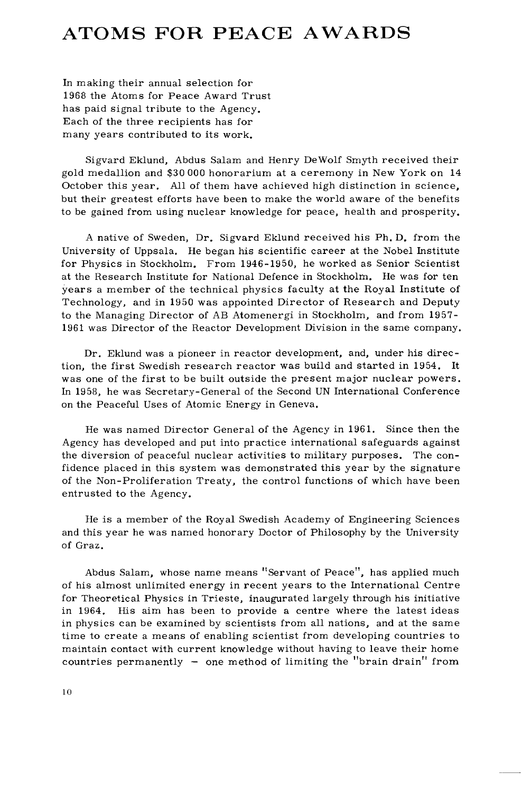## ATOMS FOR PEACE AWARDS

In making their annual selection for 1968 the Atoms for Peace Award Trust has paid signal tribute to the Agency. Each of the three recipients has for many years contributed to its work.

Sigvard Eklund, Abdus Salam and Henry DeWolf Smyth received their gold medallion and \$30 000 honorarium at a ceremony in New York on 14 October this year. All of them have achieved high distinction in science, but their greatest efforts have been to make the world aware of the benefits to be gained from using nuclear knowledge for peace, health and prosperity.

A native of Sweden, Dr. Sigvard Eklund received his Ph. D. from the University of Uppsala. He began his scientific career at the Nobel Institute for Physics in Stockholm. From 1946-1950, he worked as Senior Scientist at the Research Institute for National Defence in Stockholm. He was for ten years a member of the technical physics faculty at the Royal Institute of Technology, and in 1950 was appointed Director of Research and Deputy to the Managing Director of AB Atomenergi in Stockholm, and from 1957- 1961 was Director of the Reactor Development Division in the same company.

Dr. Eklund was a pioneer in reactor development, and, under his direction, the first Swedish research reactor was build and started in 1954. It was one of the first to be built outside the present major nuclear powers. In 1958, he was Secretary-General of the Second UN International Conference on the Peaceful Uses of Atomic Energy in Geneva.

He was named Director General of the Agency in 1961. Since then the Agency has developed and put into practice international safeguards against the diversion of peaceful nuclear activities to military purposes. The confidence placed in this system was demonstrated this year by the signature of the Non-Proliferation Treaty, the control functions of which have been entrusted to the Agency.

He is a member of the Royal Swedish Academy of Engineering Sciences and this year he was named honorary Doctor of Philosophy by the University of Graz.

Abdus Salam, whose name means "Servant of Peace", has applied much of his almost unlimited energy in recent years to the International Centre for Theoretical Physics in Trieste, inaugurated largely through his initiative in 1964. His aim has been to provide a centre where the latest ideas in physics can be examined by scientists from all nations, and at the same time to create a means of enabling scientist from developing countries to maintain contact with current knowledge without having to leave their home countries permanently — one method of limiting the "brain drain" from